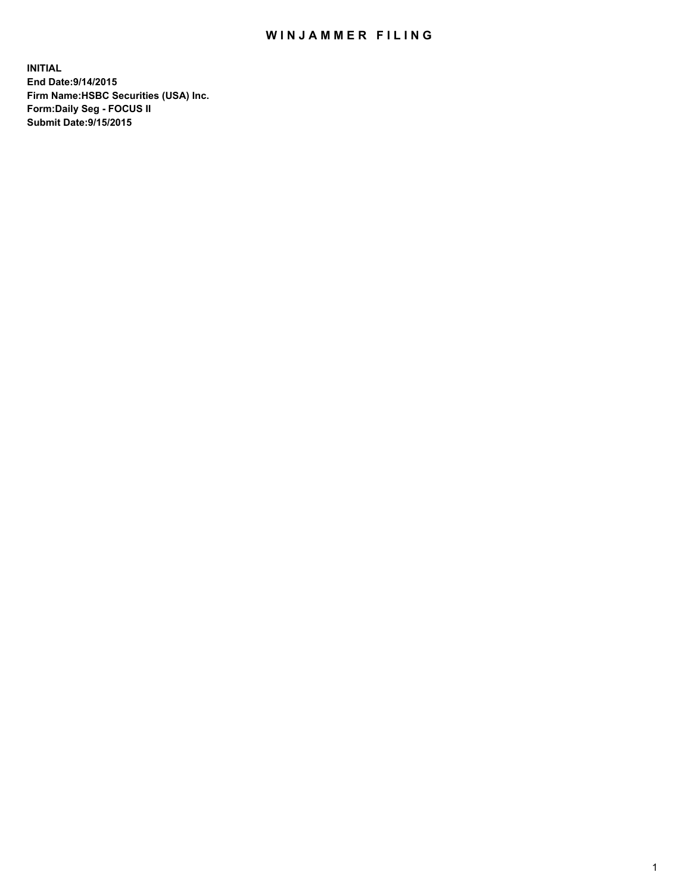## WIN JAMMER FILING

**INITIAL End Date:9/14/2015 Firm Name:HSBC Securities (USA) Inc. Form:Daily Seg - FOCUS II Submit Date:9/15/2015**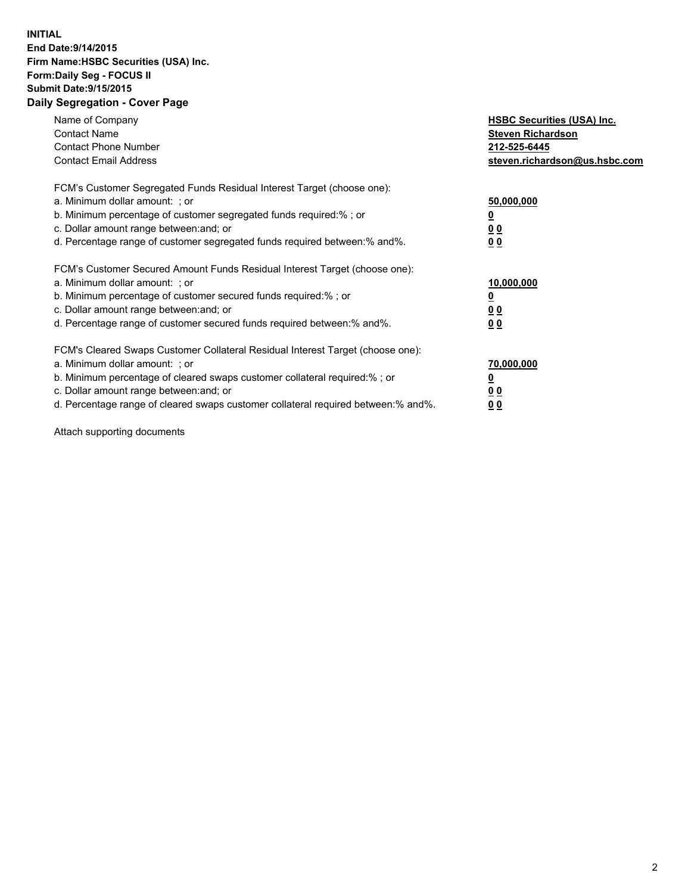## **INITIAL End Date:9/14/2015 Firm Name:HSBC Securities (USA) Inc. Form:Daily Seg - FOCUS II Submit Date:9/15/2015 Daily Segregation - Cover Page**

| Name of Company<br><b>Contact Name</b><br><b>Contact Phone Number</b><br><b>Contact Email Address</b>                                                                                                                                                                                                                         | <b>HSBC Securities (USA) Inc.</b><br><b>Steven Richardson</b><br>212-525-6445<br>steven.richardson@us.hsbc.com |
|-------------------------------------------------------------------------------------------------------------------------------------------------------------------------------------------------------------------------------------------------------------------------------------------------------------------------------|----------------------------------------------------------------------------------------------------------------|
| FCM's Customer Segregated Funds Residual Interest Target (choose one):<br>a. Minimum dollar amount: ; or<br>b. Minimum percentage of customer segregated funds required:%; or<br>c. Dollar amount range between: and; or<br>d. Percentage range of customer segregated funds required between:% and%.                         | 50,000,000<br>00<br>0 <sub>0</sub>                                                                             |
| FCM's Customer Secured Amount Funds Residual Interest Target (choose one):<br>a. Minimum dollar amount: ; or<br>b. Minimum percentage of customer secured funds required:%; or<br>c. Dollar amount range between: and; or<br>d. Percentage range of customer secured funds required between:% and%.                           | 10,000,000<br>0 <sub>0</sub><br>00                                                                             |
| FCM's Cleared Swaps Customer Collateral Residual Interest Target (choose one):<br>a. Minimum dollar amount: ; or<br>b. Minimum percentage of cleared swaps customer collateral required:%; or<br>c. Dollar amount range between: and; or<br>d. Percentage range of cleared swaps customer collateral required between:% and%. | 70,000,000<br><u>00</u><br><u>00</u>                                                                           |

Attach supporting documents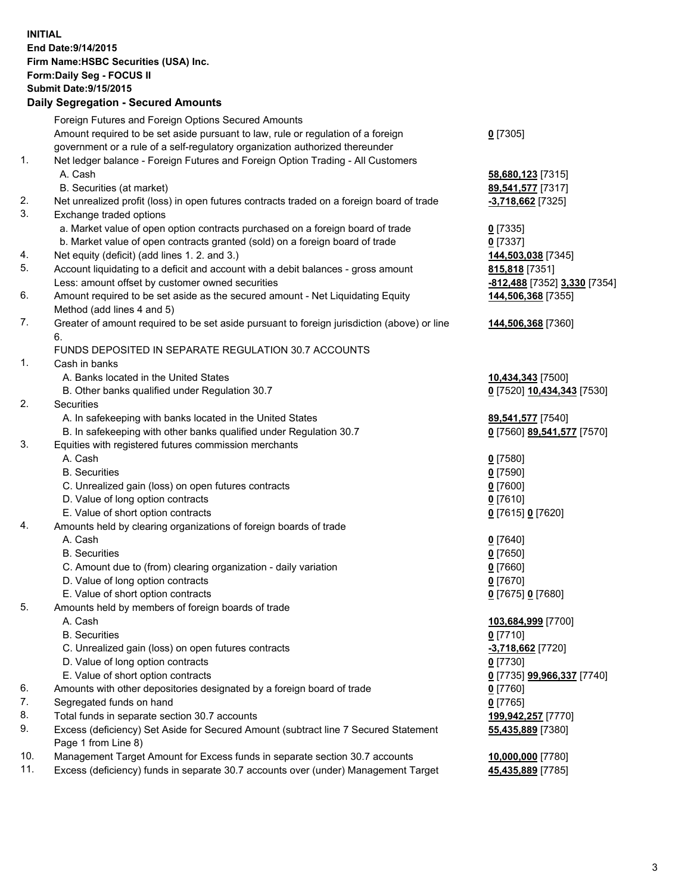**INITIAL End Date:9/14/2015 Firm Name:HSBC Securities (USA) Inc. Form:Daily Seg - FOCUS II Submit Date:9/15/2015 Daily Segregation - Secured Amounts**

|     | Foreign Futures and Foreign Options Secured Amounts                                         |                              |
|-----|---------------------------------------------------------------------------------------------|------------------------------|
|     | Amount required to be set aside pursuant to law, rule or regulation of a foreign            | $0$ [7305]                   |
|     | government or a rule of a self-regulatory organization authorized thereunder                |                              |
| 1.  | Net ledger balance - Foreign Futures and Foreign Option Trading - All Customers             |                              |
|     | A. Cash                                                                                     | 58,680,123 [7315]            |
|     | B. Securities (at market)                                                                   | 89,541,577 [7317]            |
| 2.  | Net unrealized profit (loss) in open futures contracts traded on a foreign board of trade   | -3,718,662 [7325]            |
| 3.  | Exchange traded options                                                                     |                              |
|     | a. Market value of open option contracts purchased on a foreign board of trade              | $0$ [7335]                   |
|     | b. Market value of open contracts granted (sold) on a foreign board of trade                | $0$ [7337]                   |
| 4.  | Net equity (deficit) (add lines 1. 2. and 3.)                                               | 144,503,038 [7345]           |
| 5.  | Account liquidating to a deficit and account with a debit balances - gross amount           | 815,818 [7351]               |
|     | Less: amount offset by customer owned securities                                            | -812,488 [7352] 3,330 [7354] |
| 6.  | Amount required to be set aside as the secured amount - Net Liquidating Equity              | 144,506,368 [7355]           |
|     | Method (add lines 4 and 5)                                                                  |                              |
| 7.  | Greater of amount required to be set aside pursuant to foreign jurisdiction (above) or line | 144,506,368 [7360]           |
|     | 6.                                                                                          |                              |
|     | FUNDS DEPOSITED IN SEPARATE REGULATION 30.7 ACCOUNTS                                        |                              |
| 1.  | Cash in banks                                                                               |                              |
|     | A. Banks located in the United States                                                       | 10,434,343 [7500]            |
|     | B. Other banks qualified under Regulation 30.7                                              | 0 [7520] 10,434,343 [7530]   |
| 2.  | Securities                                                                                  |                              |
|     | A. In safekeeping with banks located in the United States                                   | 89,541,577 [7540]            |
|     | B. In safekeeping with other banks qualified under Regulation 30.7                          | 0 [7560] 89,541,577 [7570]   |
| 3.  | Equities with registered futures commission merchants                                       |                              |
|     | A. Cash                                                                                     | $0$ [7580]                   |
|     | <b>B.</b> Securities                                                                        | $0$ [7590]                   |
|     | C. Unrealized gain (loss) on open futures contracts                                         | $0$ [7600]                   |
|     | D. Value of long option contracts                                                           | $0$ [7610]                   |
|     | E. Value of short option contracts                                                          | 0 [7615] 0 [7620]            |
| 4.  | Amounts held by clearing organizations of foreign boards of trade                           |                              |
|     | A. Cash                                                                                     | $0$ [7640]                   |
|     | <b>B.</b> Securities                                                                        | $0$ [7650]                   |
|     | C. Amount due to (from) clearing organization - daily variation                             | $0$ [7660]                   |
|     | D. Value of long option contracts                                                           | $0$ [7670]                   |
|     | E. Value of short option contracts                                                          | 0 [7675] 0 [7680]            |
| 5.  | Amounts held by members of foreign boards of trade                                          |                              |
|     | A. Cash                                                                                     | 103,684,999 [7700]           |
|     | <b>B.</b> Securities                                                                        | $0$ [7710]                   |
|     | C. Unrealized gain (loss) on open futures contracts                                         | -3,718,662 [7720]            |
|     | D. Value of long option contracts                                                           | $0$ [7730]                   |
|     | E. Value of short option contracts                                                          | 0 [7735] 99,966,337 [7740]   |
| 6.  | Amounts with other depositories designated by a foreign board of trade                      | 0 [7760]                     |
| 7.  | Segregated funds on hand                                                                    | $0$ [7765]                   |
| 8.  | Total funds in separate section 30.7 accounts                                               | 199,942,257 [7770]           |
| 9.  | Excess (deficiency) Set Aside for Secured Amount (subtract line 7 Secured Statement         | 55,435,889 [7380]            |
|     | Page 1 from Line 8)                                                                         |                              |
| 10. | Management Target Amount for Excess funds in separate section 30.7 accounts                 | 10,000,000 [7780]            |
| 11. | Excess (deficiency) funds in separate 30.7 accounts over (under) Management Target          | 45,435,889 [7785]            |
|     |                                                                                             |                              |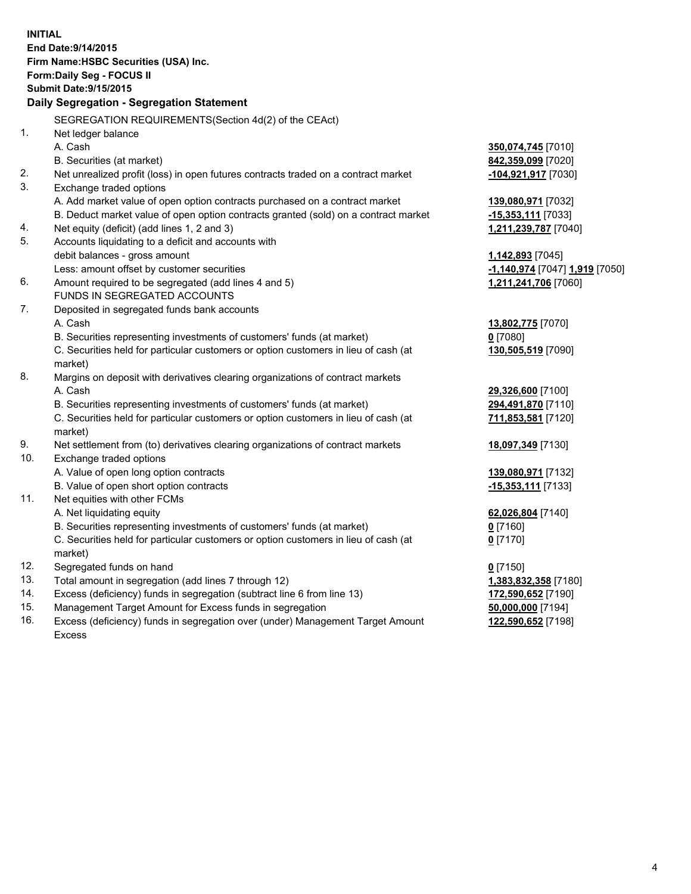| <b>INITIAL</b> | End Date: 9/14/2015<br>Firm Name: HSBC Securities (USA) Inc.<br>Form: Daily Seg - FOCUS II<br><b>Submit Date: 9/15/2015</b><br>Daily Segregation - Segregation Statement |                                |
|----------------|--------------------------------------------------------------------------------------------------------------------------------------------------------------------------|--------------------------------|
|                | SEGREGATION REQUIREMENTS(Section 4d(2) of the CEAct)                                                                                                                     |                                |
| 1.             | Net ledger balance                                                                                                                                                       |                                |
|                | A. Cash                                                                                                                                                                  | 350,074,745 [7010]             |
|                | B. Securities (at market)                                                                                                                                                | 842,359,099 [7020]             |
| 2.             | Net unrealized profit (loss) in open futures contracts traded on a contract market                                                                                       | -104,921,917 [7030]            |
| 3.             | Exchange traded options                                                                                                                                                  |                                |
|                | A. Add market value of open option contracts purchased on a contract market                                                                                              | 139,080,971 [7032]             |
|                | B. Deduct market value of open option contracts granted (sold) on a contract market                                                                                      | -15,353,111 [7033]             |
| 4.             | Net equity (deficit) (add lines 1, 2 and 3)                                                                                                                              | 1,211,239,787 [7040]           |
| 5.             | Accounts liquidating to a deficit and accounts with                                                                                                                      |                                |
|                | debit balances - gross amount                                                                                                                                            | 1,142,893 [7045]               |
|                | Less: amount offset by customer securities                                                                                                                               | -1,140,974 [7047] 1,919 [7050] |
| 6.             | Amount required to be segregated (add lines 4 and 5)<br>FUNDS IN SEGREGATED ACCOUNTS                                                                                     | 1,211,241,706 [7060]           |
| 7.             | Deposited in segregated funds bank accounts                                                                                                                              |                                |
|                | A. Cash                                                                                                                                                                  | 13,802,775 [7070]              |
|                | B. Securities representing investments of customers' funds (at market)                                                                                                   | $0$ [7080]                     |
|                | C. Securities held for particular customers or option customers in lieu of cash (at<br>market)                                                                           | 130,505,519 [7090]             |
| 8.             | Margins on deposit with derivatives clearing organizations of contract markets                                                                                           |                                |
|                | A. Cash                                                                                                                                                                  | 29,326,600 [7100]              |
|                | B. Securities representing investments of customers' funds (at market)                                                                                                   | 294,491,870 [7110]             |
|                | C. Securities held for particular customers or option customers in lieu of cash (at<br>market)                                                                           | 711,853,581 [7120]             |
| 9.             | Net settlement from (to) derivatives clearing organizations of contract markets                                                                                          | 18,097,349 [7130]              |
| 10.            | Exchange traded options                                                                                                                                                  |                                |
|                | A. Value of open long option contracts                                                                                                                                   | 139,080,971 [7132]             |
|                | B. Value of open short option contracts                                                                                                                                  | -15,353,111 [7133]             |
| 11.            | Net equities with other FCMs                                                                                                                                             |                                |
|                | A. Net liquidating equity                                                                                                                                                | 62,026,804 [7140]              |
|                | B. Securities representing investments of customers' funds (at market)                                                                                                   | $0$ [7160]                     |
|                | C. Securities held for particular customers or option customers in lieu of cash (at<br>market)                                                                           | $0$ [7170]                     |
| 12.            | Segregated funds on hand                                                                                                                                                 | $0$ [7150]                     |
| 13.            | Total amount in segregation (add lines 7 through 12)                                                                                                                     | 1,383,832,358 [7180]           |
| 14.            | Excess (deficiency) funds in segregation (subtract line 6 from line 13)                                                                                                  | 172,590,652 [7190]             |
| 15.            | Management Target Amount for Excess funds in segregation                                                                                                                 | 50,000,000 [7194]              |

16. Excess (deficiency) funds in segregation over (under) Management Target Amount Excess

**122,590,652** [7198]